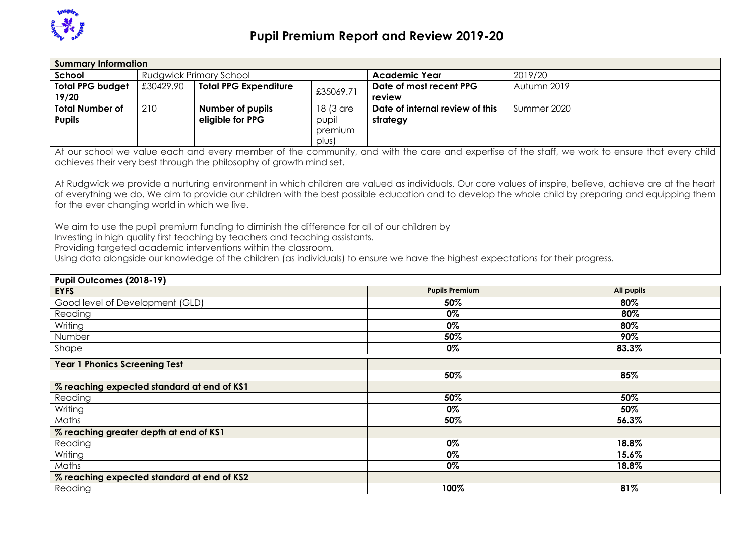

| <b>Summary Information</b>                    |           |                                                                                                                                                                                                                                                   |                                        |                                                                                                                                    |                                                                                                                                                                                                                                                                                                                  |
|-----------------------------------------------|-----------|---------------------------------------------------------------------------------------------------------------------------------------------------------------------------------------------------------------------------------------------------|----------------------------------------|------------------------------------------------------------------------------------------------------------------------------------|------------------------------------------------------------------------------------------------------------------------------------------------------------------------------------------------------------------------------------------------------------------------------------------------------------------|
| School                                        |           | <b>Rudgwick Primary School</b>                                                                                                                                                                                                                    |                                        | <b>Academic Year</b>                                                                                                               | 2019/20                                                                                                                                                                                                                                                                                                          |
| <b>Total PPG budget</b><br>19/20              | £30429.90 | <b>Total PPG Expenditure</b>                                                                                                                                                                                                                      | £35069.71                              | Date of most recent PPG<br>review                                                                                                  | Autumn 2019                                                                                                                                                                                                                                                                                                      |
| <b>Total Number of</b><br><b>Pupils</b>       | 210       | Number of pupils<br>eligible for PPG                                                                                                                                                                                                              | 18 (3 are<br>pupil<br>premium<br>plus) | Date of internal review of this<br>strategy                                                                                        | Summer 2020                                                                                                                                                                                                                                                                                                      |
|                                               |           | achieves their very best through the philosophy of growth mind set.                                                                                                                                                                               |                                        |                                                                                                                                    | At our school we value each and every member of the community, and with the care and expertise of the staff, we work to ensure that every child                                                                                                                                                                  |
| for the ever changing world in which we live. |           | We aim to use the pupil premium funding to diminish the difference for all of our children by<br>Investing in high quality first teaching by teachers and teaching assistants.<br>Providing targeted academic interventions within the classroom. |                                        | Using data alongside our knowledge of the children (as individuals) to ensure we have the highest expectations for their progress. | At Rudgwick we provide a nurturing environment in which children are valued as individuals. Our core values of inspire, believe, achieve are at the heart<br>of everything we do. We aim to provide our children with the best possible education and to develop the whole child by preparing and equipping them |
|                                               |           |                                                                                                                                                                                                                                                   |                                        |                                                                                                                                    |                                                                                                                                                                                                                                                                                                                  |
| Pupil Outcomes (2018-19)                      |           |                                                                                                                                                                                                                                                   |                                        |                                                                                                                                    |                                                                                                                                                                                                                                                                                                                  |
| <b>EYFS</b>                                   |           |                                                                                                                                                                                                                                                   |                                        | <b>Pupils Premium</b>                                                                                                              | <b>All pupils</b>                                                                                                                                                                                                                                                                                                |
| Good level of Development (GLD)               |           |                                                                                                                                                                                                                                                   |                                        | 50%                                                                                                                                | 80%                                                                                                                                                                                                                                                                                                              |
| Reading                                       |           |                                                                                                                                                                                                                                                   |                                        | 0%                                                                                                                                 | 80%                                                                                                                                                                                                                                                                                                              |
| Writing<br>Number                             |           |                                                                                                                                                                                                                                                   |                                        | 0%<br>50%                                                                                                                          | 80%<br>90%                                                                                                                                                                                                                                                                                                       |
| Shape                                         |           |                                                                                                                                                                                                                                                   |                                        | 0%                                                                                                                                 | 83.3%                                                                                                                                                                                                                                                                                                            |
| <b>Year 1 Phonics Screening Test</b>          |           |                                                                                                                                                                                                                                                   |                                        |                                                                                                                                    |                                                                                                                                                                                                                                                                                                                  |
|                                               |           |                                                                                                                                                                                                                                                   |                                        | 50%                                                                                                                                | 85%                                                                                                                                                                                                                                                                                                              |
| % reaching expected standard at end of KS1    |           |                                                                                                                                                                                                                                                   |                                        |                                                                                                                                    |                                                                                                                                                                                                                                                                                                                  |
| Reading                                       |           |                                                                                                                                                                                                                                                   |                                        | 50%                                                                                                                                | 50%                                                                                                                                                                                                                                                                                                              |
| Writing                                       |           |                                                                                                                                                                                                                                                   |                                        | 0%                                                                                                                                 | 50%                                                                                                                                                                                                                                                                                                              |
| Maths                                         |           |                                                                                                                                                                                                                                                   |                                        | 50%                                                                                                                                | 56.3%                                                                                                                                                                                                                                                                                                            |
| % reaching greater depth at end of KS1        |           |                                                                                                                                                                                                                                                   |                                        |                                                                                                                                    |                                                                                                                                                                                                                                                                                                                  |
| Reading                                       |           |                                                                                                                                                                                                                                                   |                                        | 0%                                                                                                                                 | 18.8%                                                                                                                                                                                                                                                                                                            |
| Writing                                       |           |                                                                                                                                                                                                                                                   |                                        | 0%                                                                                                                                 | 15.6%                                                                                                                                                                                                                                                                                                            |
| Maths                                         |           |                                                                                                                                                                                                                                                   |                                        | 0%                                                                                                                                 | 18.8%                                                                                                                                                                                                                                                                                                            |
| % reaching expected standard at end of KS2    |           |                                                                                                                                                                                                                                                   |                                        |                                                                                                                                    |                                                                                                                                                                                                                                                                                                                  |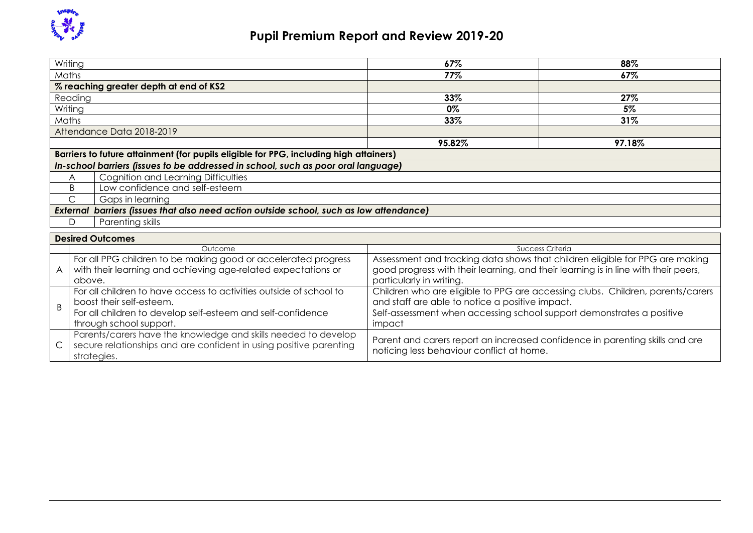

## **Pupil Premium Report and Review 2019-20**

| Writing                                                                                                                                                                                                                                                                                                                                          |                                                                                            | 67%    | 88%    |  |  |  |  |
|--------------------------------------------------------------------------------------------------------------------------------------------------------------------------------------------------------------------------------------------------------------------------------------------------------------------------------------------------|--------------------------------------------------------------------------------------------|--------|--------|--|--|--|--|
| Maths                                                                                                                                                                                                                                                                                                                                            |                                                                                            | 77%    | 67%    |  |  |  |  |
|                                                                                                                                                                                                                                                                                                                                                  | % reaching greater depth at end of KS2                                                     |        |        |  |  |  |  |
| Reading                                                                                                                                                                                                                                                                                                                                          |                                                                                            | 33%    | 27%    |  |  |  |  |
| Writing                                                                                                                                                                                                                                                                                                                                          |                                                                                            | $0\%$  | 5%     |  |  |  |  |
| <b>Maths</b>                                                                                                                                                                                                                                                                                                                                     |                                                                                            | 33%    | 31%    |  |  |  |  |
|                                                                                                                                                                                                                                                                                                                                                  | Attendance Data 2018-2019                                                                  |        |        |  |  |  |  |
|                                                                                                                                                                                                                                                                                                                                                  |                                                                                            | 95.82% | 97.18% |  |  |  |  |
|                                                                                                                                                                                                                                                                                                                                                  | Barriers to future attainment (for pupils eligible for PPG, including high attainers)      |        |        |  |  |  |  |
|                                                                                                                                                                                                                                                                                                                                                  | In-school barriers (issues to be addressed in school, such as poor oral language)          |        |        |  |  |  |  |
| A                                                                                                                                                                                                                                                                                                                                                | Cognition and Learning Difficulties                                                        |        |        |  |  |  |  |
| Low confidence and self-esteem<br>B.                                                                                                                                                                                                                                                                                                             |                                                                                            |        |        |  |  |  |  |
| С<br>Gaps in learning                                                                                                                                                                                                                                                                                                                            |                                                                                            |        |        |  |  |  |  |
|                                                                                                                                                                                                                                                                                                                                                  | barriers (issues that also need action outside school, such as low attendance)<br>External |        |        |  |  |  |  |
| D                                                                                                                                                                                                                                                                                                                                                | Parenting skills                                                                           |        |        |  |  |  |  |
|                                                                                                                                                                                                                                                                                                                                                  | <b>Desired Outcomes</b>                                                                    |        |        |  |  |  |  |
|                                                                                                                                                                                                                                                                                                                                                  | <b>Success Criteria</b><br>Outcome                                                         |        |        |  |  |  |  |
| For all PPG children to be making good or accelerated progress<br>Assessment and tracking data shows that children eligible for PPG are making<br>with their learning and achieving age-related expectations or<br>good progress with their learning, and their learning is in line with their peers,<br>A<br>particularly in writing.<br>above. |                                                                                            |        |        |  |  |  |  |

| uuvvu.                                                                                                                                                                                   | <u>LUITTULITTIIN IN TEITTIIN I</u>                                                                                                                                                                                   |
|------------------------------------------------------------------------------------------------------------------------------------------------------------------------------------------|----------------------------------------------------------------------------------------------------------------------------------------------------------------------------------------------------------------------|
| For all children to have access to activities outside of school to<br>boost their self-esteem.<br>For all children to develop self-esteem and self-confidence<br>through school support. | Children who are eligible to PPG are accessing clubs. Children, parents/carers<br>and staff are able to notice a positive impact.<br>Self-assessment when accessing school support demonstrates a positive<br>impact |
| Parents/carers have the knowledge and skills needed to develop<br>$\mathsf{C}$ secure relationships and are confident in using positive parenting<br>strategies.                         | Parent and carers report an increased confidence in parenting skills and are<br>noticing less behaviour conflict at home.                                                                                            |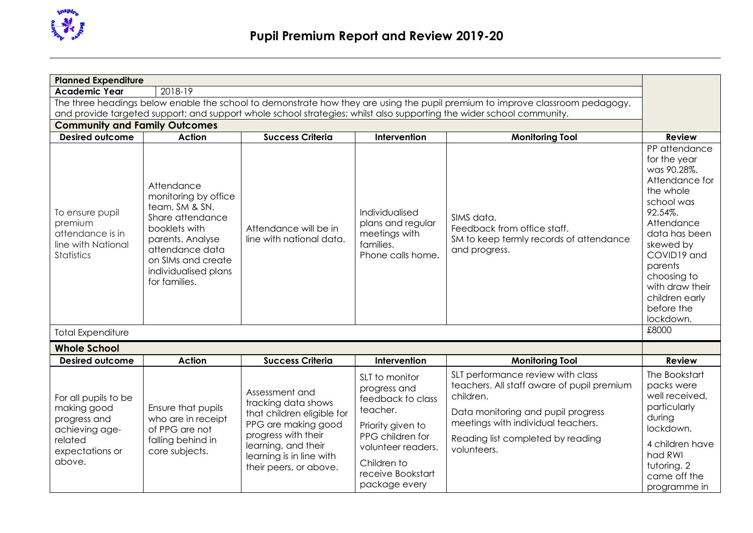

| <b>Planned Expenditure</b>                                                                                                                                                                      |                                                                                                                                                                      |                                                                                                                                               |                                                                                                                                                                                                                              |                                                                                                                                                                                                                                                                                                            |
|-------------------------------------------------------------------------------------------------------------------------------------------------------------------------------------------------|----------------------------------------------------------------------------------------------------------------------------------------------------------------------|-----------------------------------------------------------------------------------------------------------------------------------------------|------------------------------------------------------------------------------------------------------------------------------------------------------------------------------------------------------------------------------|------------------------------------------------------------------------------------------------------------------------------------------------------------------------------------------------------------------------------------------------------------------------------------------------------------|
| 2018-19                                                                                                                                                                                         |                                                                                                                                                                      |                                                                                                                                               |                                                                                                                                                                                                                              |                                                                                                                                                                                                                                                                                                            |
|                                                                                                                                                                                                 |                                                                                                                                                                      |                                                                                                                                               |                                                                                                                                                                                                                              |                                                                                                                                                                                                                                                                                                            |
|                                                                                                                                                                                                 |                                                                                                                                                                      |                                                                                                                                               |                                                                                                                                                                                                                              | <b>Review</b>                                                                                                                                                                                                                                                                                              |
| Attendance<br>monitoring by office<br>team, SM & SN.<br>Share attendance<br>booklets with<br>parents. Analyse<br>attendance data<br>on SIMs and create<br>individualised plans<br>for families. | Attendance will be in<br>line with national data.                                                                                                                    | Individualised<br>plans and regular<br>meetings with<br>families.<br>Phone calls home.                                                        | SIMS data.<br>Feedback from office staff.<br>SM to keep termly records of attendance<br>and progress.                                                                                                                        | PP attendance<br>for the year<br>was 90.28%.<br>Attendance for<br>the whole<br>school was<br>92.54%.<br>Attendance<br>data has been<br>skewed by<br>COVID19 and<br>parents<br>choosing to<br>with draw their<br>children early<br>before the<br>lockdown.                                                  |
|                                                                                                                                                                                                 |                                                                                                                                                                      |                                                                                                                                               |                                                                                                                                                                                                                              | £8000                                                                                                                                                                                                                                                                                                      |
| <b>Whole School</b><br><b>Desired outcome</b>                                                                                                                                                   |                                                                                                                                                                      |                                                                                                                                               |                                                                                                                                                                                                                              |                                                                                                                                                                                                                                                                                                            |
|                                                                                                                                                                                                 |                                                                                                                                                                      |                                                                                                                                               |                                                                                                                                                                                                                              | <b>Review</b>                                                                                                                                                                                                                                                                                              |
| Ensure that pupils<br>who are in receipt<br>of PPG are not<br>falling behind in<br>core subjects.                                                                                               | Assessment and<br>tracking data shows<br>that children eligible for<br>PPG are making good<br>progress with their<br>learning, and their<br>learning is in line with | SLT to monitor<br>progress and<br>feedback to class<br>teacher.<br>Priority given to<br>PPG children for<br>volunteer readers.<br>Children to | SLT performance review with class<br>teachers. All staff aware of pupil premium<br>children.<br>Data monitoring and pupil progress<br>meetings with individual teachers.<br>Reading list completed by reading<br>volunteers. | The Bookstart<br>packs were<br>well received,<br>particularly<br>during<br>lockdown.<br>4 children have<br>had RWI                                                                                                                                                                                         |
|                                                                                                                                                                                                 | <b>Community and Family Outcomes</b><br><b>Action</b><br><b>Action</b>                                                                                               | <b>Success Criteria</b><br><b>Success Criteria</b>                                                                                            | Intervention<br>Intervention                                                                                                                                                                                                 | The three headings below enable the school to demonstrate how they are using the pupil premium to improve classroom pedagogy,<br>and provide targeted support; and support whole school strategies; whilst also supporting the wider school community.<br><b>Monitoring Tool</b><br><b>Monitoring Tool</b> |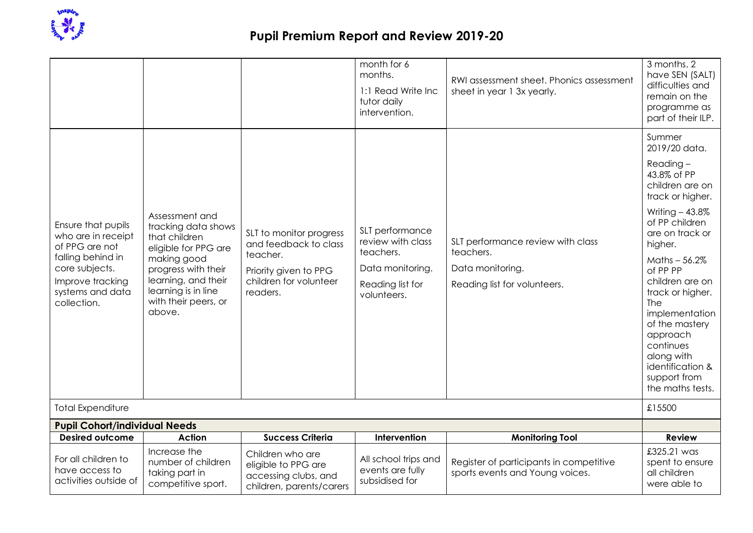

## **Pupil Premium Report and Review 2019-20**

|                                                                                                                                                          |                                                                                                                                                                                                      |                                                                                                                             | month for 6<br>months.<br>1:1 Read Write Inc<br>tutor daily<br>intervention.                             | RWI assessment sheet. Phonics assessment<br>sheet in year 1 3x yearly.                             | 3 months. 2<br>have SEN (SALT)<br>difficulties and<br>remain on the<br>programme as<br>part of their ILP.                                                                                                                                                                                                                                                                         |
|----------------------------------------------------------------------------------------------------------------------------------------------------------|------------------------------------------------------------------------------------------------------------------------------------------------------------------------------------------------------|-----------------------------------------------------------------------------------------------------------------------------|----------------------------------------------------------------------------------------------------------|----------------------------------------------------------------------------------------------------|-----------------------------------------------------------------------------------------------------------------------------------------------------------------------------------------------------------------------------------------------------------------------------------------------------------------------------------------------------------------------------------|
| Ensure that pupils<br>who are in receipt<br>of PPG are not<br>falling behind in<br>core subjects.<br>Improve tracking<br>systems and data<br>collection. | Assessment and<br>tracking data shows<br>that children<br>eligible for PPG are<br>making good<br>progress with their<br>learning, and their<br>learning is in line<br>with their peers, or<br>above. | SLT to monitor progress<br>and feedback to class<br>teacher.<br>Priority given to PPG<br>children for volunteer<br>readers. | SLT performance<br>review with class<br>teachers.<br>Data monitoring.<br>Reading list for<br>volunteers. | SLT performance review with class<br>teachers.<br>Data monitoring.<br>Reading list for volunteers. | Summer<br>2019/20 data.<br>$Reading -$<br>43.8% of PP<br>children are on<br>track or higher.<br>Writing $-43.8\%$<br>of PP children<br>are on track or<br>higher.<br>Maths $-56.2\%$<br>of PP PP<br>children are on<br>track or higher.<br>The<br>implementation<br>of the mastery<br>approach<br>continues<br>along with<br>identification &<br>support from<br>the maths tests. |
| <b>Total Expenditure</b>                                                                                                                                 |                                                                                                                                                                                                      |                                                                                                                             |                                                                                                          |                                                                                                    | £15500                                                                                                                                                                                                                                                                                                                                                                            |
| <b>Pupil Cohort/individual Needs</b><br><b>Desired outcome</b>                                                                                           | <b>Action</b>                                                                                                                                                                                        | <b>Success Criteria</b>                                                                                                     | Intervention                                                                                             | <b>Monitoring Tool</b>                                                                             | <b>Review</b>                                                                                                                                                                                                                                                                                                                                                                     |
| For all children to<br>have access to<br>activities outside of                                                                                           | Increase the<br>number of children<br>taking part in<br>competitive sport.                                                                                                                           | Children who are<br>eligible to PPG are<br>accessing clubs, and<br>children, parents/carers                                 | All school trips and<br>events are fully<br>subsidised for                                               | Register of participants in competitive<br>sports events and Young voices.                         | £325.21 was<br>spent to ensure<br>all children<br>were able to                                                                                                                                                                                                                                                                                                                    |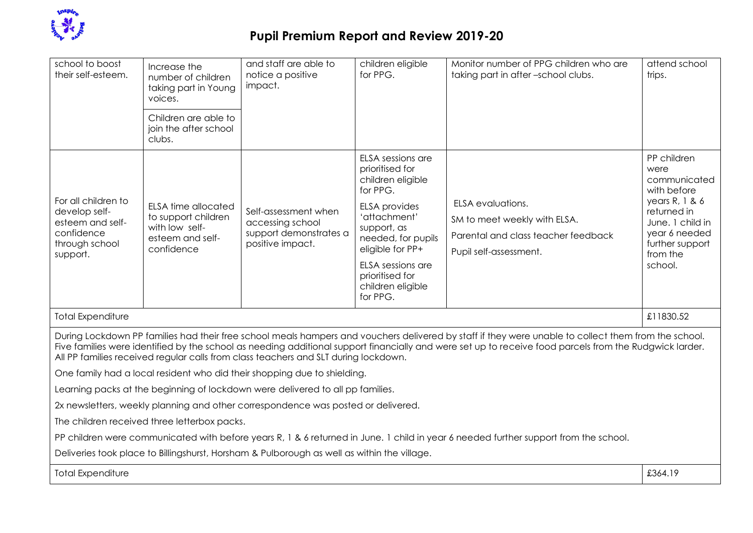

| school to boost<br>their self-esteem.                                                                                                                                                                                                                                                                                                                                                                  | Increase the<br>number of children<br>taking part in Young<br>voices.                                 | and staff are able to<br>notice a positive<br>impact.                                  | children eligible<br>for PPG.                                                                 | Monitor number of PPG children who are<br>taking part in after-school clubs.                                       | attend school<br>trips.                                                                               |  |
|--------------------------------------------------------------------------------------------------------------------------------------------------------------------------------------------------------------------------------------------------------------------------------------------------------------------------------------------------------------------------------------------------------|-------------------------------------------------------------------------------------------------------|----------------------------------------------------------------------------------------|-----------------------------------------------------------------------------------------------|--------------------------------------------------------------------------------------------------------------------|-------------------------------------------------------------------------------------------------------|--|
|                                                                                                                                                                                                                                                                                                                                                                                                        | Children are able to<br>join the after school<br>clubs.                                               |                                                                                        |                                                                                               |                                                                                                                    |                                                                                                       |  |
|                                                                                                                                                                                                                                                                                                                                                                                                        |                                                                                                       |                                                                                        | ELSA sessions are<br>prioritised for<br>children eligible<br>for PPG.                         |                                                                                                                    | PP children<br>were<br>communicated<br>with before                                                    |  |
| For all children to<br>develop self-<br>esteem and self-<br>confidence<br>through school<br>support.                                                                                                                                                                                                                                                                                                   | <b>ELSA time allocated</b><br>to support children<br>with low self-<br>esteem and self-<br>confidence | Self-assessment when<br>accessing school<br>support demonstrates a<br>positive impact. | <b>ELSA</b> provides<br>'attachment'<br>support, as<br>needed, for pupils<br>eligible for PP+ | ELSA evaluations.<br>SM to meet weekly with ELSA.<br>Parental and class teacher feedback<br>Pupil self-assessment. | years $R, 1, 8, 6$<br>returned in<br>June. 1 child in<br>year 6 needed<br>further support<br>from the |  |
|                                                                                                                                                                                                                                                                                                                                                                                                        |                                                                                                       |                                                                                        | ELSA sessions are<br>prioritised for<br>children eligible<br>for PPG.                         |                                                                                                                    | school.                                                                                               |  |
| <b>Total Expenditure</b><br>£11830.52                                                                                                                                                                                                                                                                                                                                                                  |                                                                                                       |                                                                                        |                                                                                               |                                                                                                                    |                                                                                                       |  |
| During Lockdown PP families had their free school meals hampers and vouchers delivered by staff if they were unable to collect them from the school.<br>Five families were identified by the school as needing additional support financially and were set up to receive food parcels from the Rudgwick larder.<br>All PP families received regular calls from class teachers and SLT during lockdown. |                                                                                                       |                                                                                        |                                                                                               |                                                                                                                    |                                                                                                       |  |
| One family had a local resident who did their shopping due to shielding.                                                                                                                                                                                                                                                                                                                               |                                                                                                       |                                                                                        |                                                                                               |                                                                                                                    |                                                                                                       |  |
| Learning packs at the beginning of lockdown were delivered to all pp families.                                                                                                                                                                                                                                                                                                                         |                                                                                                       |                                                                                        |                                                                                               |                                                                                                                    |                                                                                                       |  |
| 2x newsletters, weekly planning and other correspondence was posted or delivered.                                                                                                                                                                                                                                                                                                                      |                                                                                                       |                                                                                        |                                                                                               |                                                                                                                    |                                                                                                       |  |
| The children received three letterbox packs.                                                                                                                                                                                                                                                                                                                                                           |                                                                                                       |                                                                                        |                                                                                               |                                                                                                                    |                                                                                                       |  |
| PP children were communicated with before years R, 1 & 6 returned in June. 1 child in year 6 needed further support from the school.                                                                                                                                                                                                                                                                   |                                                                                                       |                                                                                        |                                                                                               |                                                                                                                    |                                                                                                       |  |
| Deliveries took place to Billingshurst, Horsham & Pulborough as well as within the village.                                                                                                                                                                                                                                                                                                            |                                                                                                       |                                                                                        |                                                                                               |                                                                                                                    |                                                                                                       |  |
| <b>Total Expenditure</b>                                                                                                                                                                                                                                                                                                                                                                               |                                                                                                       |                                                                                        |                                                                                               |                                                                                                                    | £364.19                                                                                               |  |